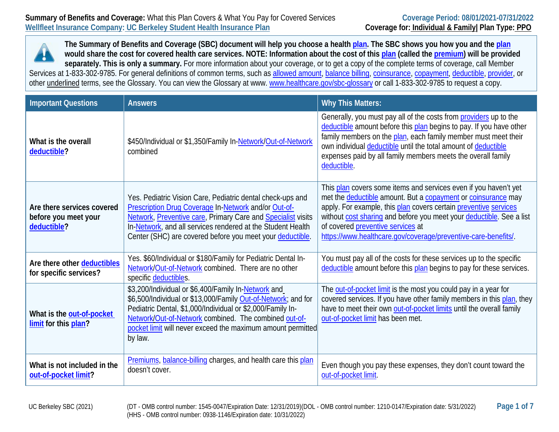**The Summary of Benefits and Coverage (SBC) document will help you choose a healt[h plan.](https://www.healthcare.gov/sbc-glossary/#plan) The SBC shows you how you and the [plan](https://www.healthcare.gov/sbc-glossary/#plan) would share the cost for covered health care services. NOTE: Information about the cost of this [plan](https://www.healthcare.gov/sbc-glossary/#plan) (called the [premium\)](https://www.healthcare.gov/sbc-glossary/#premium) will be provided separately. This is only a summary.** For more information about your coverage, or to get a copy of the complete terms of coverage, call Member Services at 1-833-302-9785. For general definitions of common terms, such as [allowed amount,](https://www.healthcare.gov/sbc-glossary/#allowed-amount) [balance billing,](https://www.healthcare.gov/sbc-glossary/#balance-billing) [coinsurance,](https://www.healthcare.gov/sbc-glossary/#coinsurance) [copayment,](https://www.healthcare.gov/sbc-glossary/#copayment) [deductible,](https://www.healthcare.gov/sbc-glossary/#deductible) [provider,](https://www.healthcare.gov/sbc-glossary/#provider) or other underlined terms, see the Glossary. You can view the Glossary at [www.](http://www/) [www.healthcare.gov/sbc-glossary](http://www.healthcare.gov/sbc-glossary) or call 1-833-302-9785 to request a copy.

| <b>Important Questions</b>                                        | <b>Answers</b>                                                                                                                                                                                                                                                                                                        | <b>Why This Matters:</b>                                                                                                                                                                                                                                                                                                                                                            |
|-------------------------------------------------------------------|-----------------------------------------------------------------------------------------------------------------------------------------------------------------------------------------------------------------------------------------------------------------------------------------------------------------------|-------------------------------------------------------------------------------------------------------------------------------------------------------------------------------------------------------------------------------------------------------------------------------------------------------------------------------------------------------------------------------------|
| What is the overall<br>deductible?                                | \$450/Individual or \$1,350/Family In-Network/Out-of-Network<br>combined                                                                                                                                                                                                                                              | Generally, you must pay all of the costs from providers up to the<br>deductible amount before this plan begins to pay. If you have other<br>family members on the plan, each family member must meet their<br>own individual deductible until the total amount of deductible<br>expenses paid by all family members meets the overall family<br>deductible.                         |
| Are there services covered<br>before you meet your<br>deductible? | Yes. Pediatric Vision Care, Pediatric dental check-ups and<br>Prescription Drug Coverage In-Network and/or Out-of-<br>Network, Preventive care, Primary Care and Specialist visits<br>In-Network, and all services rendered at the Student Health<br>Center (SHC) are covered before you meet your deductible.        | This plan covers some items and services even if you haven't yet<br>met the deductible amount. But a copayment or coinsurance may<br>apply. For example, this plan covers certain preventive services<br>without cost sharing and before you meet your deductible. See a list<br>of covered preventive services at<br>https://www.healthcare.gov/coverage/preventive-care-benefits/ |
| Are there other deductibles<br>for specific services?             | Yes. \$60/Individual or \$180/Family for Pediatric Dental In-<br>Network/Out-of-Network combined. There are no other<br>specific deductibles.                                                                                                                                                                         | You must pay all of the costs for these services up to the specific<br>deductible amount before this plan begins to pay for these services.                                                                                                                                                                                                                                         |
| What is the out-of-pocket<br>limit for this plan?                 | \$3,200/Individual or \$6,400/Family In-Network and<br>\$6,500/Individual or \$13,000/Family Out-of-Network; and for<br>Pediatric Dental, \$1,000/Individual or \$2,000/Family In-<br>Network/Out-of-Network combined. The combined out-of-<br>pocket limit will never exceed the maximum amount permitted<br>by law. | The out-of-pocket limit is the most you could pay in a year for<br>covered services. If you have other family members in this plan, they<br>have to meet their own out-of-pocket limits until the overall family<br>out-of-pocket limit has been met.                                                                                                                               |
| What is not included in the<br>out-of-pocket limit?               | Premiums, balance-billing charges, and health care this plan<br>doesn't cover.                                                                                                                                                                                                                                        | Even though you pay these expenses, they don't count toward the<br>out-of-pocket limit.                                                                                                                                                                                                                                                                                             |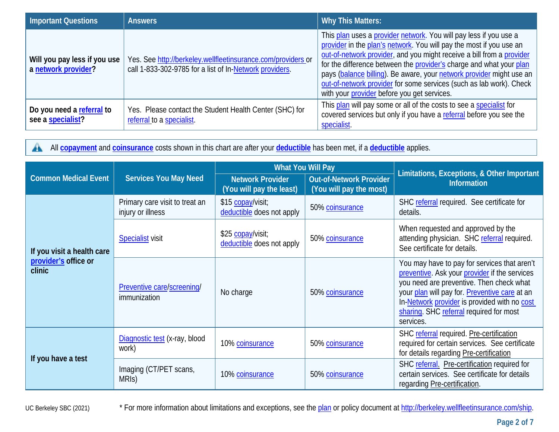| <b>Important Questions</b>                          | <b>Answers</b>                                                                                                          | <b>Why This Matters:</b>                                                                                                                                                                                                                                                                                                                                                                                                                                                               |
|-----------------------------------------------------|-------------------------------------------------------------------------------------------------------------------------|----------------------------------------------------------------------------------------------------------------------------------------------------------------------------------------------------------------------------------------------------------------------------------------------------------------------------------------------------------------------------------------------------------------------------------------------------------------------------------------|
| Will you pay less if you use<br>a network provider? | Yes. See http://berkeley.wellfleetinsurance.com/providers or<br>call 1-833-302-9785 for a list of In-Network providers. | This plan uses a provider network. You will pay less if you use a<br>provider in the plan's network. You will pay the most if you use an<br>out-of-network provider, and you might receive a bill from a provider<br>for the difference between the provider's charge and what your plan<br>pays (balance billing). Be aware, your network provider might use an<br>out-of-network provider for some services (such as lab work). Check<br>with your provider before you get services. |
| Do you need a referral to<br>see a specialist?      | Yes. Please contact the Student Health Center (SHC) for<br>referral to a specialist.                                    | This plan will pay some or all of the costs to see a specialist for<br>covered services but only if you have a referral before you see the<br>specialist.                                                                                                                                                                                                                                                                                                                              |

 $\mathbf{A}$ All **[copayment](https://www.healthcare.gov/sbc-glossary/#copayment)** and **[coinsurance](https://www.healthcare.gov/sbc-glossary/#coinsurance)** costs shown in this chart are after your **[deductible](https://www.healthcare.gov/sbc-glossary/#deductible)** has been met, if a **[deductible](https://www.healthcare.gov/sbc-glossary/#deductible)** applies.

|                                                              |                                                     | <b>What You Will Pay</b>                            |                                                           | Limitations, Exceptions, & Other Important                                                                                                                                                                                                                                                         |
|--------------------------------------------------------------|-----------------------------------------------------|-----------------------------------------------------|-----------------------------------------------------------|----------------------------------------------------------------------------------------------------------------------------------------------------------------------------------------------------------------------------------------------------------------------------------------------------|
| <b>Common Medical Event</b>                                  | <b>Services You May Need</b>                        | <b>Network Provider</b><br>(You will pay the least) | <b>Out-of-Network Provider</b><br>(You will pay the most) | <b>Information</b>                                                                                                                                                                                                                                                                                 |
| If you visit a health care<br>provider's office or<br>clinic | Primary care visit to treat an<br>injury or illness | \$15 copay/visit;<br>deductible does not apply      | 50% coinsurance                                           | SHC referral required. See certificate for<br>details.                                                                                                                                                                                                                                             |
|                                                              | <b>Specialist visit</b>                             | \$25 copay/visit;<br>deductible does not apply      | 50% coinsurance                                           | When requested and approved by the<br>attending physician. SHC referral required.<br>See certificate for details.                                                                                                                                                                                  |
|                                                              | Preventive care/screening/<br>immunization          | No charge                                           | 50% coinsurance                                           | You may have to pay for services that aren't<br>preventive. Ask your provider if the services<br>you need are preventive. Then check what<br>your plan will pay for. Preventive care at an<br>In-Network provider is provided with no cost<br>sharing. SHC referral required for most<br>services. |
| If you have a test                                           | Diagnostic test (x-ray, blood<br>work)              | 10% coinsurance                                     | 50% coinsurance                                           | SHC referral required. Pre-certification<br>required for certain services. See certificate<br>for details regarding Pre-certification                                                                                                                                                              |
|                                                              | Imaging (CT/PET scans,<br>MRIS)                     | 10% coinsurance                                     | 50% coinsurance                                           | SHC referral. Pre-certification required for<br>certain services. See certificate for details<br>regarding Pre-certification.                                                                                                                                                                      |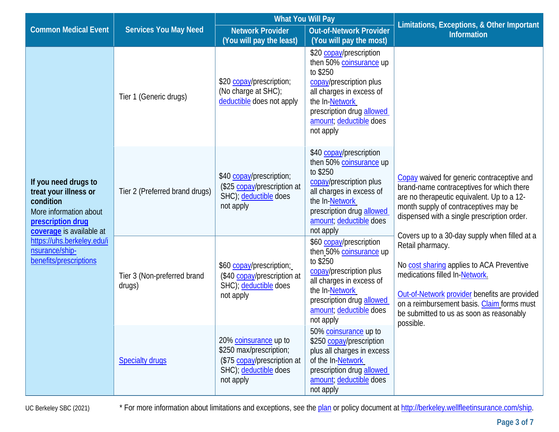|                                                                                                                                                                                                                 |                                       | <b>What You Will Pay</b>                                                                                              |                                                                                                                                                                                                              |                                                                                                                                                                                                                                                                                                          |
|-----------------------------------------------------------------------------------------------------------------------------------------------------------------------------------------------------------------|---------------------------------------|-----------------------------------------------------------------------------------------------------------------------|--------------------------------------------------------------------------------------------------------------------------------------------------------------------------------------------------------------|----------------------------------------------------------------------------------------------------------------------------------------------------------------------------------------------------------------------------------------------------------------------------------------------------------|
| <b>Common Medical Event</b>                                                                                                                                                                                     | <b>Services You May Need</b>          | <b>Network Provider</b>                                                                                               | <b>Out-of-Network Provider</b>                                                                                                                                                                               | Limitations, Exceptions, & Other Important<br><b>Information</b>                                                                                                                                                                                                                                         |
|                                                                                                                                                                                                                 |                                       | (You will pay the least)                                                                                              | (You will pay the most)                                                                                                                                                                                      |                                                                                                                                                                                                                                                                                                          |
| If you need drugs to<br>treat your illness or<br>condition<br>More information about<br>prescription drug<br>coverage is available at<br>https://uhs.berkeley.edu/i<br>nsurance/ship-<br>benefits/prescriptions | Tier 1 (Generic drugs)                | \$20 copay/prescription;<br>(No charge at SHC);<br>deductible does not apply                                          | \$20 copay/prescription<br>then 50% coinsurance up<br>to \$250<br>copay/prescription plus<br>all charges in excess of<br>the In-Network<br>prescription drug allowed<br>amount; deductible does<br>not apply |                                                                                                                                                                                                                                                                                                          |
|                                                                                                                                                                                                                 | Tier 2 (Preferred brand drugs)        | \$40 copay/prescription;<br>(\$25 copay/prescription at<br>SHC); deductible does<br>not apply                         | \$40 copay/prescription<br>then 50% coinsurance up<br>to \$250<br>copay/prescription plus<br>all charges in excess of<br>the In-Network<br>prescription drug allowed<br>amount; deductible does<br>not apply | Copay waived for generic contraceptive and<br>brand-name contraceptives for which there<br>are no therapeutic equivalent. Up to a 12-<br>month supply of contraceptives may be<br>dispensed with a single prescription order.                                                                            |
|                                                                                                                                                                                                                 | Tier 3 (Non-preferred brand<br>drugs) | \$60 copay/prescription;<br>(\$40 copay/prescription at<br>SHC); deductible does<br>not apply                         | \$60 copay/prescription<br>then 50% coinsurance up<br>to \$250<br>copay/prescription plus<br>all charges in excess of<br>the In-Network<br>prescription drug allowed<br>amount; deductible does<br>not apply | Covers up to a 30-day supply when filled at a<br>Retail pharmacy.<br>No cost sharing applies to ACA Preventive<br>medications filled In-Network.<br>Out-of-Network provider benefits are provided<br>on a reimbursement basis. Claim forms must<br>be submitted to us as soon as reasonably<br>possible. |
|                                                                                                                                                                                                                 | <b>Specialty drugs</b>                | 20% coinsurance up to<br>\$250 max/prescription;<br>(\$75 copay/prescription at<br>SHC); deductible does<br>not apply | 50% coinsurance up to<br>\$250 copay/prescription<br>plus all charges in excess<br>of the In-Network<br>prescription drug allowed<br>amount; deductible does<br>not apply                                    |                                                                                                                                                                                                                                                                                                          |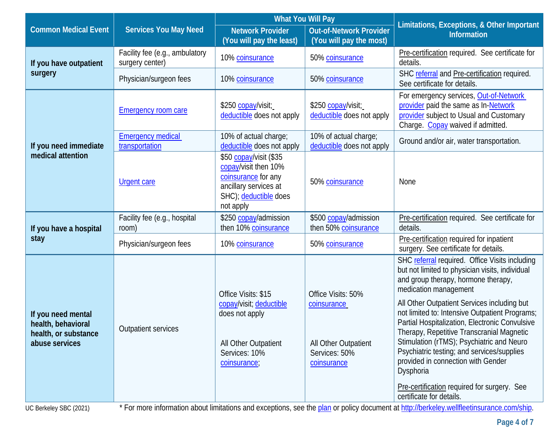|                                                                                    |                                                   | <b>What You Will Pay</b>                                                                                                             |                                                                                           | Limitations, Exceptions, & Other Important                                                                                                                                                                                                                                                                                                                                                                                                                                                                                                                                                 |  |
|------------------------------------------------------------------------------------|---------------------------------------------------|--------------------------------------------------------------------------------------------------------------------------------------|-------------------------------------------------------------------------------------------|--------------------------------------------------------------------------------------------------------------------------------------------------------------------------------------------------------------------------------------------------------------------------------------------------------------------------------------------------------------------------------------------------------------------------------------------------------------------------------------------------------------------------------------------------------------------------------------------|--|
| <b>Common Medical Event</b>                                                        | <b>Services You May Need</b>                      | <b>Network Provider</b><br>(You will pay the least)                                                                                  | <b>Out-of-Network Provider</b><br>(You will pay the most)                                 | <b>Information</b>                                                                                                                                                                                                                                                                                                                                                                                                                                                                                                                                                                         |  |
| If you have outpatient                                                             | Facility fee (e.g., ambulatory<br>surgery center) | 10% coinsurance                                                                                                                      | 50% coinsurance                                                                           | Pre-certification required. See certificate for<br>details.                                                                                                                                                                                                                                                                                                                                                                                                                                                                                                                                |  |
| surgery                                                                            | Physician/surgeon fees                            | 10% coinsurance                                                                                                                      | 50% coinsurance                                                                           | SHC referral and Pre-certification required.<br>See certificate for details.                                                                                                                                                                                                                                                                                                                                                                                                                                                                                                               |  |
|                                                                                    | <b>Emergency room care</b>                        | \$250 copay/visit;<br>deductible does not apply                                                                                      | \$250 copay/visit;<br>deductible does not apply                                           | For emergency services, Out-of-Network<br>provider paid the same as In-Network<br>provider subject to Usual and Customary<br>Charge. Copay waived if admitted.                                                                                                                                                                                                                                                                                                                                                                                                                             |  |
| If you need immediate                                                              | <b>Emergency medical</b><br>transportation        | 10% of actual charge;<br>deductible does not apply                                                                                   | 10% of actual charge;<br>deductible does not apply                                        | Ground and/or air, water transportation.                                                                                                                                                                                                                                                                                                                                                                                                                                                                                                                                                   |  |
| medical attention                                                                  | <b>Urgent care</b>                                | \$50 copay/visit (\$35<br>copay/visit then 10%<br>coinsurance for any<br>ancillary services at<br>SHC); deductible does<br>not apply | 50% coinsurance                                                                           | None                                                                                                                                                                                                                                                                                                                                                                                                                                                                                                                                                                                       |  |
| If you have a hospital<br>stay                                                     | Facility fee (e.g., hospital<br>room)             | \$250 copay/admission<br>then 10% coinsurance                                                                                        | \$500 copay/admission<br>then 50% coinsurance                                             | Pre-certification required. See certificate for<br>details.                                                                                                                                                                                                                                                                                                                                                                                                                                                                                                                                |  |
|                                                                                    | Physician/surgeon fees                            | 10% coinsurance                                                                                                                      | 50% coinsurance                                                                           | Pre-certification required for inpatient<br>surgery. See certificate for details.                                                                                                                                                                                                                                                                                                                                                                                                                                                                                                          |  |
| If you need mental<br>health, behavioral<br>health, or substance<br>abuse services | <b>Outpatient services</b>                        | Office Visits: \$15<br>copay/visit; deductible<br>does not apply<br>All Other Outpatient<br>Services: 10%<br>coinsurance;            | Office Visits: 50%<br>coinsurance<br>All Other Outpatient<br>Services: 50%<br>coinsurance | SHC referral required. Office Visits including<br>but not limited to physician visits, individual<br>and group therapy, hormone therapy,<br>medication management<br>All Other Outpatient Services including but<br>not limited to: Intensive Outpatient Programs;<br>Partial Hospitalization, Electronic Convulsive<br>Therapy, Repetitive Transcranial Magnetic<br>Stimulation (rTMS); Psychiatric and Neuro<br>Psychiatric testing; and services/supplies<br>provided in connection with Gender<br>Dysphoria<br>Pre-certification required for surgery. See<br>certificate for details. |  |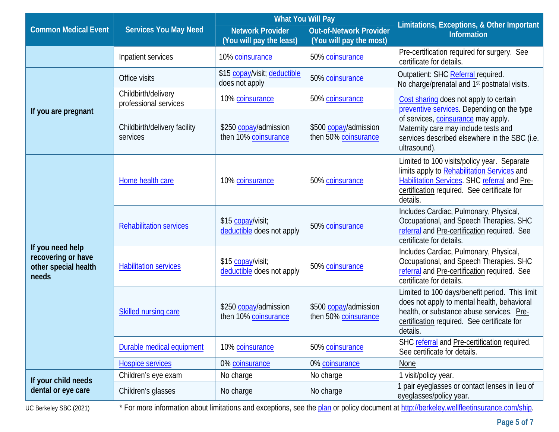|                                                                         |                                              | <b>What You Will Pay</b>                            |                                                           |                                                                                                                                                                                                       |  |
|-------------------------------------------------------------------------|----------------------------------------------|-----------------------------------------------------|-----------------------------------------------------------|-------------------------------------------------------------------------------------------------------------------------------------------------------------------------------------------------------|--|
| <b>Common Medical Event</b>                                             | <b>Services You May Need</b>                 | <b>Network Provider</b><br>(You will pay the least) | <b>Out-of-Network Provider</b><br>(You will pay the most) | Limitations, Exceptions, & Other Important<br><b>Information</b>                                                                                                                                      |  |
|                                                                         | Inpatient services                           | 10% coinsurance                                     | 50% coinsurance                                           | Pre-certification required for surgery. See<br>certificate for details.                                                                                                                               |  |
|                                                                         | Office visits                                | \$15 copay/visit; deductible<br>does not apply      | 50% coinsurance                                           | Outpatient: SHC Referral required.<br>No charge/prenatal and 1 <sup>st</sup> postnatal visits.                                                                                                        |  |
|                                                                         | Childbirth/delivery<br>professional services | 10% coinsurance                                     | 50% coinsurance                                           | Cost sharing does not apply to certain                                                                                                                                                                |  |
| If you are pregnant                                                     | Childbirth/delivery facility<br>services     | \$250 copay/admission<br>then 10% coinsurance       | \$500 copay/admission<br>then 50% coinsurance             | preventive services. Depending on the type<br>of services, coinsurance may apply.<br>Maternity care may include tests and<br>services described elsewhere in the SBC (i.e.<br>ultrasound).            |  |
| If you need help<br>recovering or have<br>other special health<br>needs | Home health care                             | 10% coinsurance                                     | 50% coinsurance                                           | Limited to 100 visits/policy year. Separate<br>limits apply to Rehabilitation Services and<br>Habilitation Services. SHC referral and Pre-<br>certification required. See certificate for<br>details. |  |
|                                                                         | <b>Rehabilitation services</b>               | \$15 copay/visit;<br>deductible does not apply      | 50% coinsurance                                           | Includes Cardiac, Pulmonary, Physical,<br>Occupational, and Speech Therapies. SHC<br>referral and Pre-certification required. See<br>certificate for details.                                         |  |
|                                                                         | <b>Habilitation services</b>                 | \$15 copay/visit;<br>deductible does not apply      | 50% coinsurance                                           | Includes Cardiac, Pulmonary, Physical,<br>Occupational, and Speech Therapies. SHC<br>referral and Pre-certification required. See<br>certificate for details.                                         |  |
|                                                                         | Skilled nursing care                         | \$250 copay/admission<br>then 10% coinsurance       | \$500 copay/admission<br>then 50% coinsurance             | Limited to 100 days/benefit period. This limit<br>does not apply to mental health, behavioral<br>health, or substance abuse services. Pre-<br>certification required. See certificate for<br>details. |  |
|                                                                         | Durable medical equipment                    | 10% coinsurance                                     | 50% coinsurance                                           | SHC referral and Pre-certification required.<br>See certificate for details.                                                                                                                          |  |
|                                                                         | <b>Hospice services</b>                      | 0% coinsurance                                      | 0% coinsurance                                            | None                                                                                                                                                                                                  |  |
| If your child needs                                                     | Children's eye exam                          | No charge                                           | No charge                                                 | 1 visit/policy year.                                                                                                                                                                                  |  |
| dental or eye care                                                      | Children's glasses                           | No charge                                           | No charge                                                 | 1 pair eyeglasses or contact lenses in lieu of<br>eyeglasses/policy year.                                                                                                                             |  |
|                                                                         |                                              |                                                     |                                                           |                                                                                                                                                                                                       |  |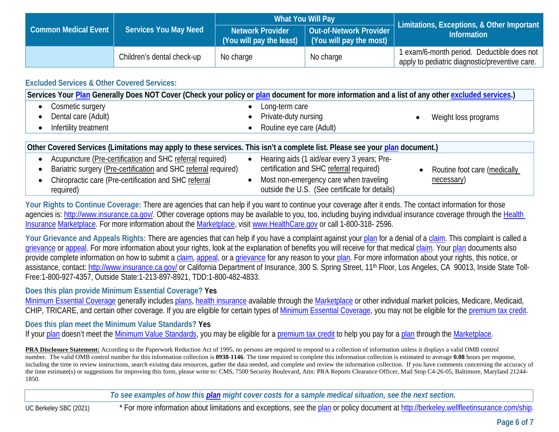| Common Medical Event | <b>Services You May Need</b> | What You Will Pay       |                                                                                                                  | Limitations, Exceptions, & Other Important                                                   |
|----------------------|------------------------------|-------------------------|------------------------------------------------------------------------------------------------------------------|----------------------------------------------------------------------------------------------|
|                      |                              | <b>Network Provider</b> | Out-of-Network Provider<br>$\mid$ (You will pay the least) $\mid \overline{\mid}$ (You will pay the most) $\mid$ | <b>Information</b>                                                                           |
|                      | Children's dental check-up   | No charge               | No charge                                                                                                        | 1 exam/6-month period. Deductible does not<br>apply to pediatric diagnostic/preventive care. |

## **Excluded Services & Other Covered Services:**

| Services Your Plan Generally Does NOT Cover (Check your policy or plan document for more information and a list of any other excluded services.) |                                                |                              |  |
|--------------------------------------------------------------------------------------------------------------------------------------------------|------------------------------------------------|------------------------------|--|
| Cosmetic surgery                                                                                                                                 | Long-term care                                 |                              |  |
| Dental care (Adult)                                                                                                                              | Private-duty nursing                           | Weight loss programs         |  |
| Infertility treatment                                                                                                                            | Routine eye care (Adult)                       |                              |  |
|                                                                                                                                                  |                                                |                              |  |
| Other Covered Services (Limitations may apply to these services. This isn't a complete list. Please see your plan document.)                     |                                                |                              |  |
| Acupuncture (Pre-certification and SHC referral required)                                                                                        | Hearing aids (1 aid/ear every 3 years; Pre-    |                              |  |
| Bariatric surgery (Pre-certification and SHC referral required)                                                                                  | certification and SHC referral required)       | Routine foot care (medically |  |
| Chiropractic care (Pre-certification and SHC referral                                                                                            | Most non-emergency care when traveling         | necessary)                   |  |
| required)                                                                                                                                        | outside the U.S. (See certificate for details) |                              |  |

**Your Rights to Continue Coverage:** There are agencies that can help if you want to continue your coverage after it ends. The contact information for those agencies is[: http://www.insurance.ca.gov/.](http://www.insurance.ca.gov/) Other coverage options may be available to you, too, including buying individual insurance coverage through the Health [Insurance](https://www.healthcare.gov/sbc-glossary/#health-insurance) [Marketplace.](https://www.healthcare.gov/sbc-glossary/#marketplace) For more information about the [Marketplace,](https://www.healthcare.gov/sbc-glossary/#marketplace) visit [www.HealthCare.gov](http://www.healthcare.gov/) or call 1-800-318- 2596.

Your Grievance and Appeals Rights: There are agencies that can help if you have a complaint against you[r plan](https://www.healthcare.gov/sbc-glossary/#plan) for a denial of a [claim.](https://www.healthcare.gov/sbc-glossary/#claim) This complaint is called a [grievance](https://www.healthcare.gov/sbc-glossary/#grievance) or [appeal.](https://www.healthcare.gov/sbc-glossary/#appeal) For more information about your rights, look at the explanation of benefits you will receive for that medica[l claim.](https://www.healthcare.gov/sbc-glossary/#claim) Your [plan](https://www.healthcare.gov/sbc-glossary/#plan) documents also provide complete information on how to submit a [claim,](https://www.healthcare.gov/sbc-glossary/#claim) [appeal,](https://www.healthcare.gov/sbc-glossary/#appeal) or a [grievance](https://www.healthcare.gov/sbc-glossary/#grievance) for any reason to your [plan.](https://www.healthcare.gov/sbc-glossary/#plan) For more information about your rights, this notice, or assistance, contact:<http://www.insurance.ca.gov/> or California Department of Insurance, 300 S. Spring Street, 11<sup>th</sup> Floor, Los Angeles, CA 90013, Inside State Toll-Free:1-800-927-4357, Outside State:1-213-897-8921, TDD:1-800-482-4833.

## **Does this plan provide Minimum Essential Coverage? Yes**

[Minimum Essential Coverage](https://www.healthcare.gov/sbc-glossary/#minimum-essential-coverage) generally includes [plans,](https://www.healthcare.gov/sbc-glossary/#plan) [health insurance](https://www.healthcare.gov/sbc-glossary/#health-insurance) available through the [Marketplace](https://www.healthcare.gov/sbc-glossary/#marketplace) or other individual market policies, Medicare, Medicaid, CHIP, TRICARE, and certain other coverage. If you are eligible for certain types of [Minimum Essential Coverage,](https://www.healthcare.gov/sbc-glossary/#minimum-essential-coverage) you may not be eligible for the [premium tax credit.](https://www.healthcare.gov/sbc-glossary/#premium-tax-credits)

## **Does this plan meet the Minimum Value Standards? Yes**

If your [plan](https://www.healthcare.gov/sbc-glossary/#plan) doesn't meet the [Minimum Value Standards,](https://www.healthcare.gov/sbc-glossary/#minimum-value-standard) you may be eligible for a [premium tax credit](https://www.healthcare.gov/sbc-glossary/#premium-tax-credits) to help you pay for a plan through the [Marketplace.](https://www.healthcare.gov/sbc-glossary/#marketplace)

**PRA Disclosure Statement:** According to the Paperwork Reduction Act of 1995, no persons are required to respond to a collection of information unless it displays a valid OMB control number. The valid OMB control number for this information collection is **0938-1146**. The time required to complete this information collection is estimated to average **0.08** hours per response, including the time to review instructions, search existing data resources, gather the data needed, and complete and review the information collection. If you have comments concerning the accuracy of the time estimate(s) or suggestions for improving this form, please write to: CMS, 7500 Security Boulevard, Attn: PRA Reports Clearance Officer, Mail Stop C4-26-05, Baltimore, Maryland 21244-1850.

*To see examples of how this [plan](https://www.healthcare.gov/sbc-glossary/#plan) might cover costs for a sample medical situation, see the next section.*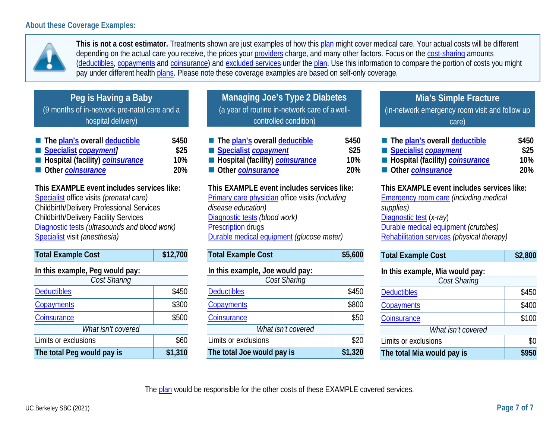## **About these Coverage Examples:**



**This is not a cost estimator.** Treatments shown are just examples of how this [plan](https://www.healthcare.gov/sbc-glossary/#plan) might cover medical care. Your actual costs will be different depending on the actual care you receive, the prices your [providers](https://www.healthcare.gov/sbc-glossary/#provider) charge, and many other factors. Focus on the [cost-sharing](https://www.healthcare.gov/sbc-glossary/#cost-sharing) amounts [\(deductibles,](https://www.healthcare.gov/sbc-glossary/#deductible) [copayments](https://www.healthcare.gov/sbc-glossary/#copayment) and [coinsurance\)](https://www.healthcare.gov/sbc-glossary/#coinsurance) and [excluded services](https://www.healthcare.gov/sbc-glossary/#excluded-services) under the [plan.](https://www.healthcare.gov/sbc-glossary/#plan) Use this information to compare the portion of costs you might pay under different health [plans.](https://www.healthcare.gov/sbc-glossary/#plan) Please note these coverage examples are based on self-only coverage.

| Peg is Having a Baby                         |
|----------------------------------------------|
| (9 months of in-network pre-natal care and a |
| hospital delivery)                           |

| The plan's overall deductible                   | \$450      |
|-------------------------------------------------|------------|
| Specialist <i>copayment</i>                     | \$25       |
| <b>E</b> Hospital (facility) <b>coinsurance</b> | 10%        |
| Other coinsurance                               | <b>20%</b> |

**This EXAMPLE event includes services like:** [Specialist](https://www.healthcare.gov/sbc-glossary/#specialist) office visits *(prenatal care)* Childbirth/Delivery Professional Services Childbirth/Delivery Facility Services [Diagnostic tests](https://www.healthcare.gov/sbc-glossary/#diagnostic-test) *(ultrasounds and blood work)* [Specialist](https://www.healthcare.gov/sbc-glossary/#specialist) visit *(anesthesia)*

| <b>Total Example Cost</b>       | \$12,700 |  |
|---------------------------------|----------|--|
| In this example, Peg would pay: |          |  |
| Cost Sharing                    |          |  |
| <b>Deductibles</b>              | \$450    |  |
| Copayments                      | \$300    |  |
| Coinsurance                     | \$500    |  |
| What isn't covered              |          |  |
| Limits or exclusions            | \$60     |  |
| The total Peg would pay is      | \$1,310  |  |

**Managing Joe's Type 2 Diabetes**  (a year of routine in-network care of a wellcontrolled condition)

| The plan's overall deductible   | \$450 |
|---------------------------------|-------|
| Specialist copayment            | \$25  |
| Hospital (facility) coinsurance | 10%   |
| Other coinsurance               | -20%  |
|                                 |       |

**This EXAMPLE event includes services like:** [Primary care physician](https://www.healthcare.gov/sbc-glossary/#primary-care-physician) office visits *(including disease education)* [Diagnostic tests](https://www.healthcare.gov/sbc-glossary/#diagnostic-test) *(blood work)* [Prescription drugs](https://www.healthcare.gov/sbc-glossary/#prescription-drugs) [Durable medical equipment](https://www.healthcare.gov/sbc-glossary/#durable-medical-equipment) *(glucose meter)*

| <b>Total Example Cost</b>       | \$5,600 |
|---------------------------------|---------|
| In this example, Joe would pay: |         |
| Cost Sharing                    |         |
| <b>Deductibles</b>              | \$450   |
| Copayments                      | \$800   |
| Coinsurance                     | \$50    |
| What isn't covered              |         |
| Limits or exclusions            | \$20    |
| The total Joe would pay is      | \$1,320 |

**Mia's Simple Fracture** (in-network emergency room visit and follow up care)

| The plan's overall deductible   | \$450      |
|---------------------------------|------------|
| Specialist copayment            | \$25       |
| Hospital (facility) coinsurance | 10%        |
| Other coinsurance               | <b>20%</b> |

**This EXAMPLE event includes services like:**

[Emergency room care](https://www.healthcare.gov/sbc-glossary/#emergency-room-care-emergency-services) *(including medical supplies)* [Diagnostic test](https://www.healthcare.gov/sbc-glossary/#diagnostic-test) (*x-ray*) [Durable medical equipment](https://www.healthcare.gov/sbc-glossary/#durable-medical-equipment) *(crutches)* [Rehabilitation services](https://www.healthcare.gov/sbc-glossary/#rehabilitation-services) *(physical therapy)*

| <b>Total Example Cost</b> | \$2,800 |
|---------------------------|---------|
|                           |         |

| In this example, Mia would pay: |       |  |
|---------------------------------|-------|--|
| Cost Sharing                    |       |  |
| <b>Deductibles</b>              | \$450 |  |
| Copayments                      | \$400 |  |
| Coinsurance                     | \$100 |  |
| What isn't covered              |       |  |
| Limits or exclusions            | \$0   |  |
| The total Mia would pay is      | \$950 |  |

The [plan](https://www.healthcare.gov/sbc-glossary/#plan) would be responsible for the other costs of these EXAMPLE covered services.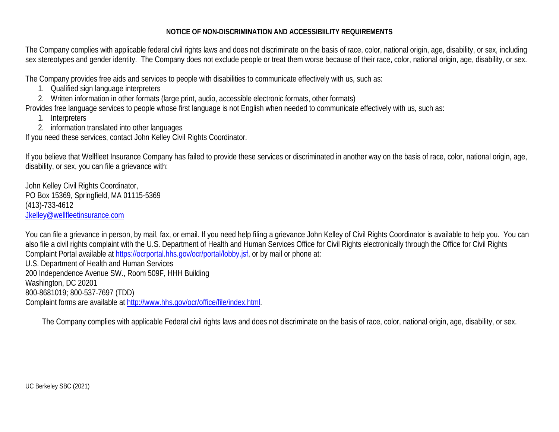#### **NOTICE OF NON-DISCRIMINATION AND ACCESSIBIILITY REQUIREMENTS**

The Company complies with applicable federal civil rights laws and does not discriminate on the basis of race, color, national origin, age, disability, or sex, including sex stereotypes and gender identity. The Company does not exclude people or treat them worse because of their race, color, national origin, age, disability, or sex.

The Company provides free aids and services to people with disabilities to communicate effectively with us, such as:

- 1. Qualified sign language interpreters
- 2. Written information in other formats (large print, audio, accessible electronic formats, other formats)

Provides free language services to people whose first language is not English when needed to communicate effectively with us, such as:

- 1. Interpreters
- 2. information translated into other languages

If you need these services, contact John Kelley Civil Rights Coordinator.

If you believe that Wellfleet Insurance Company has failed to provide these services or discriminated in another way on the basis of race, color, national origin, age, disability, or sex, you can file a grievance with:

John Kelley Civil Rights Coordinator, PO Box 15369, Springfield, MA 01115-5369 (413)-733-4612 [Jkelley@wellfleetinsurance.com](mailto:Jkelley@wellfleetinsurance.com)

You can file a grievance in person, by mail, fax, or email. If you need help filing a grievance John Kelley of Civil Rights Coordinator is available to help you. You can also file a civil rights complaint with the U.S. Department of Health and Human Services Office for Civil Rights electronically through the Office for Civil Rights Complaint Portal available at [https://ocrportal.hhs.gov/ocr/portal/lobby.jsf,](https://ocrportal.hhs.gov/ocr/portal/lobby.jsf) or by mail or phone at:

U.S. Department of Health and Human Services 200 Independence Avenue SW., Room 509F, HHH Building Washington, DC 20201 800-8681019; 800-537-7697 (TDD) Complaint forms are available at [http://www.hhs.gov/ocr/office/file/index.html.](http://www.hhs.gov/ocr/office/file/index.html)

The Company complies with applicable Federal civil rights laws and does not discriminate on the basis of race, color, national origin, age, disability, or sex.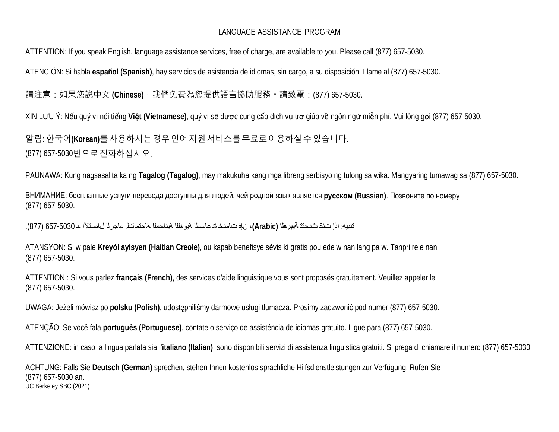### LANGUAGE ASSISTANCE PROGRAM

ATTENTION: If you speak English, language assistance services, free of charge, are available to you. Please call (877) 657-5030.

ATENCIÓN: Si habla **español (Spanish)**, hay servicios de asistencia de idiomas, sin cargo, a su disposición. Llame al (877) 657-5030.

請注意:如果您說中文 **(Chinese)**,我們免費為您提供語言協助服務。請致電:(877) 657-5030.

XIN LƯU Ý: Nếu quý vị nói tiếng **Việt (Vietnamese)**, quý vị sẽ được cung cấp dịch vụ trợ giúp về ngôn ngữ miễn phí. Vui lòng gọi (877) 657-5030.

알림: 한국어**(Korean)**를사용하시는경우언어지원서비스를무료로이용하실수있습니다. (877) 657-5030번으로전화하십시오.

PAUNAWA: Kung nagsasalita ka ng **Tagalog (Tagalog)**, may makukuha kang mga libreng serbisyo ng tulong sa wika. Mangyaring tumawag sa (877) 657-5030.

ВНИМАНИЕ: бесплатные услуги перевода доступны для людей, чей родной язык является **русском (Russian)**. Позвоните по номеру (877) 657-5030.

تنبيه: اذإ تنك ثدحتت **ةيبرعلا (Arabic(**، نإف تامدخ ةدعاسملا ةيوغللا ةيناجملا ةاحتم كل. ء اجرلا لاصتلأا ـب 657-5030 (877).

ATANSYON: Si w pale **Kreyòl ayisyen (Haitian Creole)**, ou kapab benefisye sèvis ki gratis pou ede w nan lang pa w. Tanpri rele nan (877) 657-5030.

ATTENTION : Si vous parlez **français (French)**, des services d'aide linguistique vous sont proposés gratuitement. Veuillez appeler le (877) 657-5030.

UWAGA: Jeżeli mówisz po **polsku (Polish)**, udostępniliśmy darmowe usługi tłumacza. Prosimy zadzwonić pod numer (877) 657-5030.

ATENÇÃO: Se você fala **português (Portuguese)**, contate o serviço de assistência de idiomas gratuito. Ligue para (877) 657-5030.

ATTENZIONE: in caso la lingua parlata sia l'**italiano (Italian)**, sono disponibili servizi di assistenza linguistica gratuiti. Si prega di chiamare il numero (877) 657-5030.

UC Berkeley SBC (2021) ACHTUNG: Falls Sie **Deutsch (German)** sprechen, stehen Ihnen kostenlos sprachliche Hilfsdienstleistungen zur Verfügung. Rufen Sie (877) 657-5030 an.